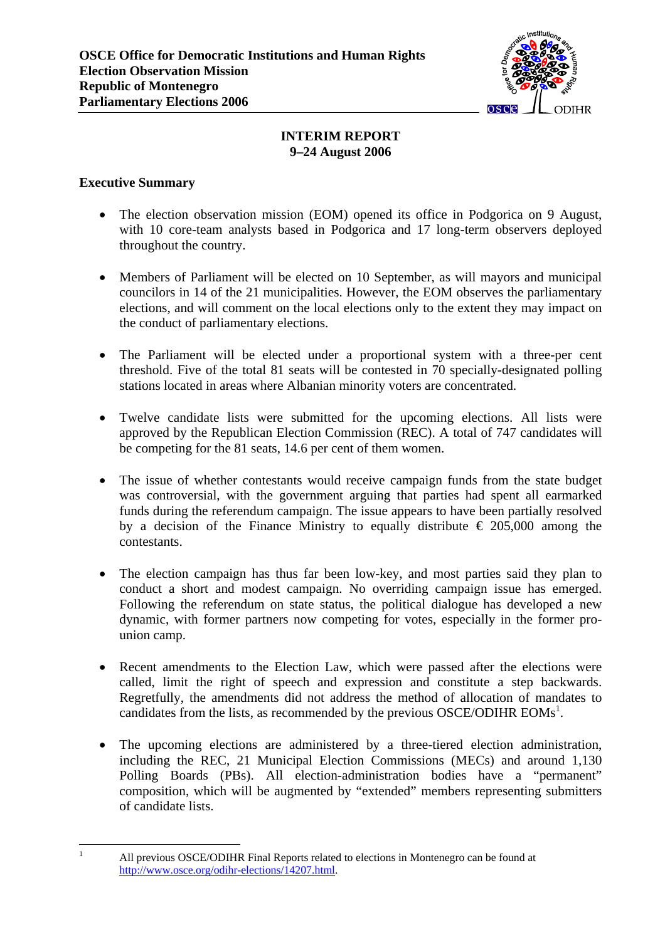

# **INTERIM REPORT 9–24 August 2006**

# **Executive Summary**

<span id="page-0-0"></span> $\mathbf{1}$ 

- The election observation mission (EOM) opened its office in Podgorica on 9 August, with 10 core-team analysts based in Podgorica and 17 long-term observers deployed throughout the country.
- Members of Parliament will be elected on 10 September, as will mayors and municipal councilors in 14 of the 21 municipalities. However, the EOM observes the parliamentary elections, and will comment on the local elections only to the extent they may impact on the conduct of parliamentary elections.
- The Parliament will be elected under a proportional system with a three-per cent threshold. Five of the total 81 seats will be contested in 70 specially-designated polling stations located in areas where Albanian minority voters are concentrated.
- Twelve candidate lists were submitted for the upcoming elections. All lists were approved by the Republican Election Commission (REC). A total of 747 candidates will be competing for the 81 seats, 14.6 per cent of them women.
- The issue of whether contestants would receive campaign funds from the state budget was controversial, with the government arguing that parties had spent all earmarked funds during the referendum campaign. The issue appears to have been partially resolved by a decision of the Finance Ministry to equally distribute  $\epsilon$  205,000 among the contestants.
- The election campaign has thus far been low-key, and most parties said they plan to conduct a short and modest campaign. No overriding campaign issue has emerged. Following the referendum on state status, the political dialogue has developed a new dynamic, with former partners now competing for votes, especially in the former prounion camp.
- Recent amendments to the Election Law, which were passed after the elections were called, limit the right of speech and expression and constitute a step backwards. Regretfully, the amendments did not address the method of allocation of mandates to candidates from the lists, as recommended by the previous OSCE/ODIHR  $EOMs<sup>1</sup>$  $EOMs<sup>1</sup>$  $EOMs<sup>1</sup>$ .
- The upcoming elections are administered by a three-tiered election administration, including the REC, 21 Municipal Election Commissions (MECs) and around 1,130 Polling Boards (PBs). All election-administration bodies have a "permanent" composition, which will be augmented by "extended" members representing submitters of candidate lists.

All previous OSCE/ODIHR Final Reports related to elections in Montenegro can be found at [http://www.osce.org/odihr-elections/14207.html.](http://www.osce.org/odihr-elections/14207.html)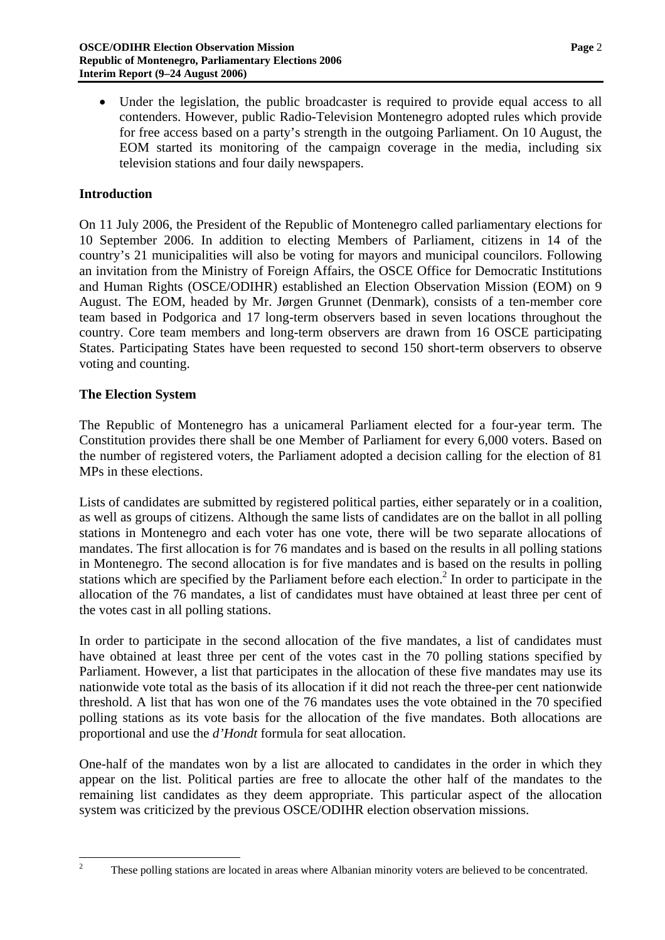• Under the legislation, the public broadcaster is required to provide equal access to all contenders. However, public Radio-Television Montenegro adopted rules which provide for free access based on a party's strength in the outgoing Parliament. On 10 August, the EOM started its monitoring of the campaign coverage in the media, including six television stations and four daily newspapers.

#### **Introduction**

On 11 July 2006, the President of the Republic of Montenegro called parliamentary elections for 10 September 2006. In addition to electing Members of Parliament, citizens in 14 of the country's 21 municipalities will also be voting for mayors and municipal councilors. Following an invitation from the Ministry of Foreign Affairs, the OSCE Office for Democratic Institutions and Human Rights (OSCE/ODIHR) established an Election Observation Mission (EOM) on 9 August. The EOM, headed by Mr. Jørgen Grunnet (Denmark), consists of a ten-member core team based in Podgorica and 17 long-term observers based in seven locations throughout the country. Core team members and long-term observers are drawn from 16 OSCE participating States. Participating States have been requested to second 150 short-term observers to observe voting and counting.

#### **The Election System**

The Republic of Montenegro has a unicameral Parliament elected for a four-year term. The Constitution provides there shall be one Member of Parliament for every 6,000 voters. Based on the number of registered voters, the Parliament adopted a decision calling for the election of 81 MPs in these elections.

Lists of candidates are submitted by registered political parties, either separately or in a coalition, as well as groups of citizens. Although the same lists of candidates are on the ballot in all polling stations in Montenegro and each voter has one vote, there will be two separate allocations of mandates. The first allocation is for 76 mandates and is based on the results in all polling stations in Montenegro. The second allocation is for five mandates and is based on the results in polling stations which are specified by the Parliament before each election.<sup>2</sup> In order to participate in the allocation of the 76 mandates, a list of candidates must have obtained at least three per cent of the votes cast in all polling stations.

In order to participate in the second allocation of the five mandates, a list of candidates must have obtained at least three per cent of the votes cast in the 70 polling stations specified by Parliament. However, a list that participates in the allocation of these five mandates may use its nationwide vote total as the basis of its allocation if it did not reach the three-per cent nationwide threshold. A list that has won one of the 76 mandates uses the vote obtained in the 70 specified polling stations as its vote basis for the allocation of the five mandates. Both allocations are proportional and use the *d'Hondt* formula for seat allocation.

One-half of the mandates won by a list are allocated to candidates in the order in which they appear on the list. Political parties are free to allocate the other half of the mandates to the remaining list candidates as they deem appropriate. This particular aspect of the allocation system was criticized by the previous OSCE/ODIHR election observation missions.

 $\frac{1}{2}$ 

<span id="page-1-0"></span>These polling stations are located in areas where Albanian minority voters are believed to be concentrated.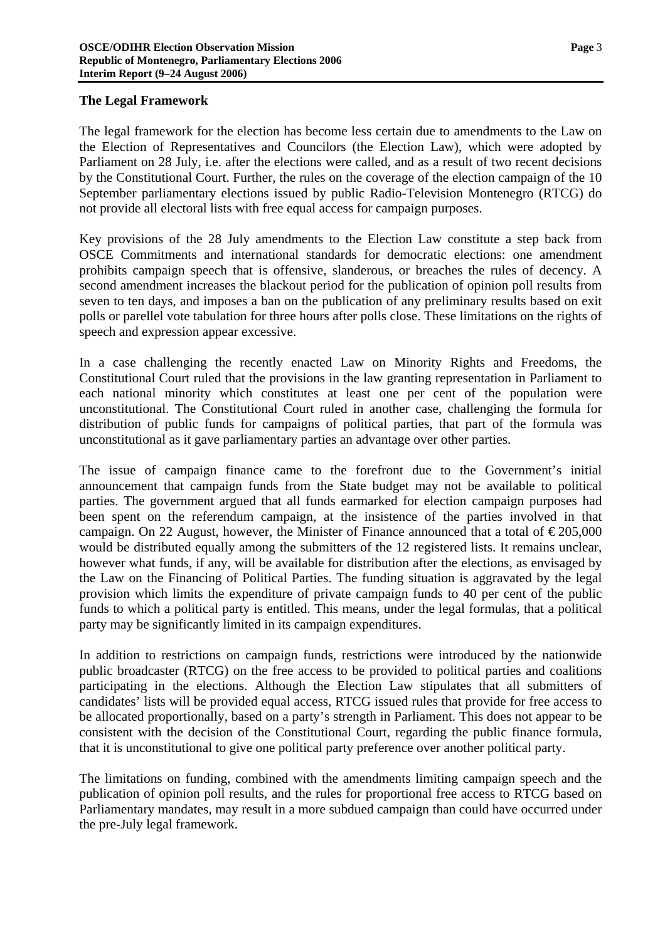#### **The Legal Framework**

The legal framework for the election has become less certain due to amendments to the Law on the Election of Representatives and Councilors (the Election Law), which were adopted by Parliament on 28 July, i.e. after the elections were called, and as a result of two recent decisions by the Constitutional Court. Further, the rules on the coverage of the election campaign of the 10 September parliamentary elections issued by public Radio-Television Montenegro (RTCG) do not provide all electoral lists with free equal access for campaign purposes.

Key provisions of the 28 July amendments to the Election Law constitute a step back from OSCE Commitments and international standards for democratic elections: one amendment prohibits campaign speech that is offensive, slanderous, or breaches the rules of decency. A second amendment increases the blackout period for the publication of opinion poll results from seven to ten days, and imposes a ban on the publication of any preliminary results based on exit polls or parellel vote tabulation for three hours after polls close. These limitations on the rights of speech and expression appear excessive.

In a case challenging the recently enacted Law on Minority Rights and Freedoms, the Constitutional Court ruled that the provisions in the law granting representation in Parliament to each national minority which constitutes at least one per cent of the population were unconstitutional. The Constitutional Court ruled in another case, challenging the formula for distribution of public funds for campaigns of political parties, that part of the formula was unconstitutional as it gave parliamentary parties an advantage over other parties.

The issue of campaign finance came to the forefront due to the Government's initial announcement that campaign funds from the State budget may not be available to political parties. The government argued that all funds earmarked for election campaign purposes had been spent on the referendum campaign, at the insistence of the parties involved in that campaign. On 22 August, however, the Minister of Finance announced that a total of  $\epsilon$ 205,000 would be distributed equally among the submitters of the 12 registered lists. It remains unclear, however what funds, if any, will be available for distribution after the elections, as envisaged by the Law on the Financing of Political Parties. The funding situation is aggravated by the legal provision which limits the expenditure of private campaign funds to 40 per cent of the public funds to which a political party is entitled. This means, under the legal formulas, that a political party may be significantly limited in its campaign expenditures.

In addition to restrictions on campaign funds, restrictions were introduced by the nationwide public broadcaster (RTCG) on the free access to be provided to political parties and coalitions participating in the elections. Although the Election Law stipulates that all submitters of candidates' lists will be provided equal access, RTCG issued rules that provide for free access to be allocated proportionally, based on a party's strength in Parliament. This does not appear to be consistent with the decision of the Constitutional Court, regarding the public finance formula, that it is unconstitutional to give one political party preference over another political party.

The limitations on funding, combined with the amendments limiting campaign speech and the publication of opinion poll results, and the rules for proportional free access to RTCG based on Parliamentary mandates, may result in a more subdued campaign than could have occurred under the pre-July legal framework.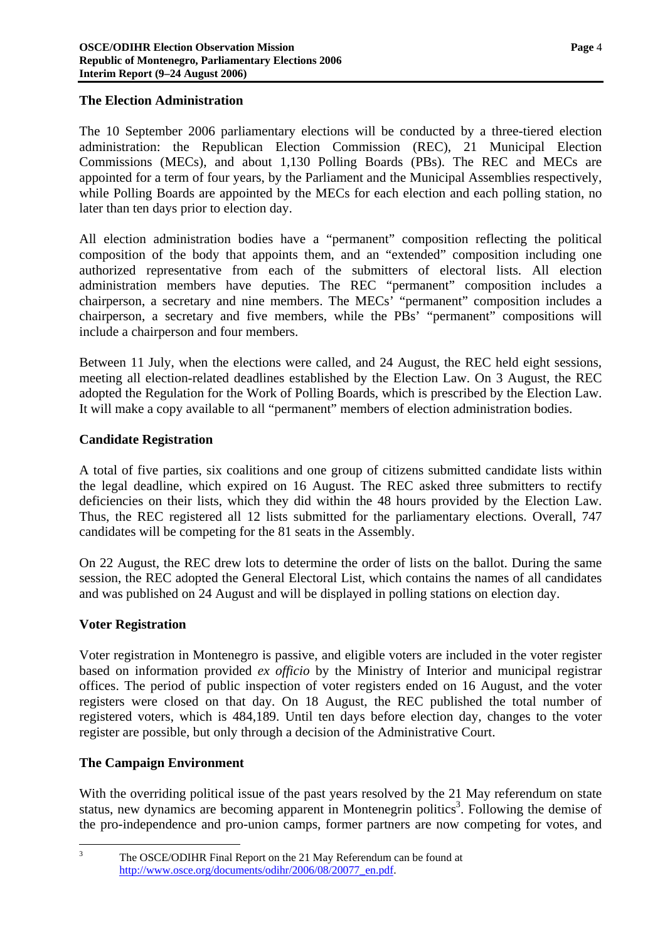#### **The Election Administration**

The 10 September 2006 parliamentary elections will be conducted by a three-tiered election administration: the Republican Election Commission (REC), 21 Municipal Election Commissions (MECs), and about 1,130 Polling Boards (PBs). The REC and MECs are appointed for a term of four years, by the Parliament and the Municipal Assemblies respectively, while Polling Boards are appointed by the MECs for each election and each polling station, no later than ten days prior to election day.

All election administration bodies have a "permanent" composition reflecting the political composition of the body that appoints them, and an "extended" composition including one authorized representative from each of the submitters of electoral lists. All election administration members have deputies. The REC "permanent" composition includes a chairperson, a secretary and nine members. The MECs' "permanent" composition includes a chairperson, a secretary and five members, while the PBs' "permanent" compositions will include a chairperson and four members.

Between 11 July, when the elections were called, and 24 August, the REC held eight sessions, meeting all election-related deadlines established by the Election Law. On 3 August, the REC adopted the Regulation for the Work of Polling Boards, which is prescribed by the Election Law. It will make a copy available to all "permanent" members of election administration bodies.

# **Candidate Registration**

A total of five parties, six coalitions and one group of citizens submitted candidate lists within the legal deadline, which expired on 16 August. The REC asked three submitters to rectify deficiencies on their lists, which they did within the 48 hours provided by the Election Law. Thus, the REC registered all 12 lists submitted for the parliamentary elections. Overall, 747 candidates will be competing for the 81 seats in the Assembly.

On 22 August, the REC drew lots to determine the order of lists on the ballot. During the same session, the REC adopted the General Electoral List, which contains the names of all candidates and was published on 24 August and will be displayed in polling stations on election day.

# **Voter Registration**

<sup>2</sup><br>3

Voter registration in Montenegro is passive, and eligible voters are included in the voter register based on information provided *ex officio* by the Ministry of Interior and municipal registrar offices. The period of public inspection of voter registers ended on 16 August, and the voter registers were closed on that day. On 18 August, the REC published the total number of registered voters, which is 484,189. Until ten days before election day, changes to the voter register are possible, but only through a decision of the Administrative Court.

# **The Campaign Environment**

With the overriding political issue of the past years resolved by the 21 May referendum on state status, new dynamics are becoming apparent in Montenegrin politics<sup>3</sup>. Following the demise of the pro-independence and pro-union camps, former partners are now competing for votes, and

<span id="page-3-0"></span>The OSCE/ODIHR Final Report on the 21 May Referendum can be found at [http://www.osce.org/documents/odihr/2006/08/20077\\_en.pdf](http://www.osce.org/documents/odihr/2006/08/20077_en.pdf).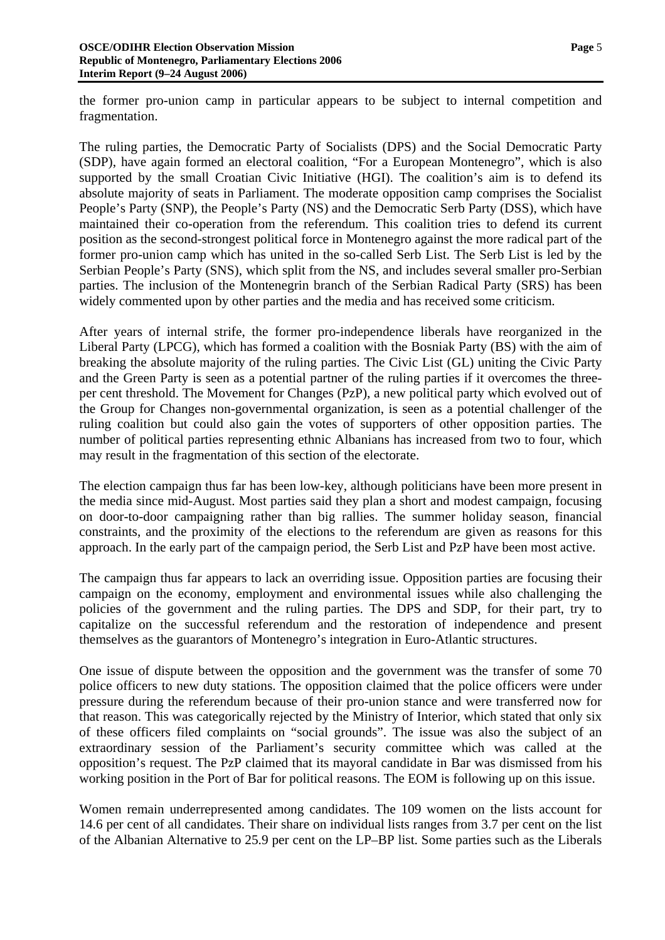the former pro-union camp in particular appears to be subject to internal competition and fragmentation.

The ruling parties, the Democratic Party of Socialists (DPS) and the Social Democratic Party (SDP), have again formed an electoral coalition, "For a European Montenegro", which is also supported by the small Croatian Civic Initiative (HGI). The coalition's aim is to defend its absolute majority of seats in Parliament. The moderate opposition camp comprises the Socialist People's Party (SNP), the People's Party (NS) and the Democratic Serb Party (DSS), which have maintained their co-operation from the referendum. This coalition tries to defend its current position as the second-strongest political force in Montenegro against the more radical part of the former pro-union camp which has united in the so-called Serb List. The Serb List is led by the Serbian People's Party (SNS), which split from the NS, and includes several smaller pro-Serbian parties. The inclusion of the Montenegrin branch of the Serbian Radical Party (SRS) has been widely commented upon by other parties and the media and has received some criticism.

After years of internal strife, the former pro-independence liberals have reorganized in the Liberal Party (LPCG), which has formed a coalition with the Bosniak Party (BS) with the aim of breaking the absolute majority of the ruling parties. The Civic List (GL) uniting the Civic Party and the Green Party is seen as a potential partner of the ruling parties if it overcomes the threeper cent threshold. The Movement for Changes (PzP), a new political party which evolved out of the Group for Changes non-governmental organization, is seen as a potential challenger of the ruling coalition but could also gain the votes of supporters of other opposition parties. The number of political parties representing ethnic Albanians has increased from two to four, which may result in the fragmentation of this section of the electorate.

The election campaign thus far has been low-key, although politicians have been more present in the media since mid-August. Most parties said they plan a short and modest campaign, focusing on door-to-door campaigning rather than big rallies. The summer holiday season, financial constraints, and the proximity of the elections to the referendum are given as reasons for this approach. In the early part of the campaign period, the Serb List and PzP have been most active.

The campaign thus far appears to lack an overriding issue. Opposition parties are focusing their campaign on the economy, employment and environmental issues while also challenging the policies of the government and the ruling parties. The DPS and SDP, for their part, try to capitalize on the successful referendum and the restoration of independence and present themselves as the guarantors of Montenegro's integration in Euro-Atlantic structures.

One issue of dispute between the opposition and the government was the transfer of some 70 police officers to new duty stations. The opposition claimed that the police officers were under pressure during the referendum because of their pro-union stance and were transferred now for that reason. This was categorically rejected by the Ministry of Interior, which stated that only six of these officers filed complaints on "social grounds". The issue was also the subject of an extraordinary session of the Parliament's security committee which was called at the opposition's request. The PzP claimed that its mayoral candidate in Bar was dismissed from his working position in the Port of Bar for political reasons. The EOM is following up on this issue.

Women remain underrepresented among candidates. The 109 women on the lists account for 14.6 per cent of all candidates. Their share on individual lists ranges from 3.7 per cent on the list of the Albanian Alternative to 25.9 per cent on the LP–BP list. Some parties such as the Liberals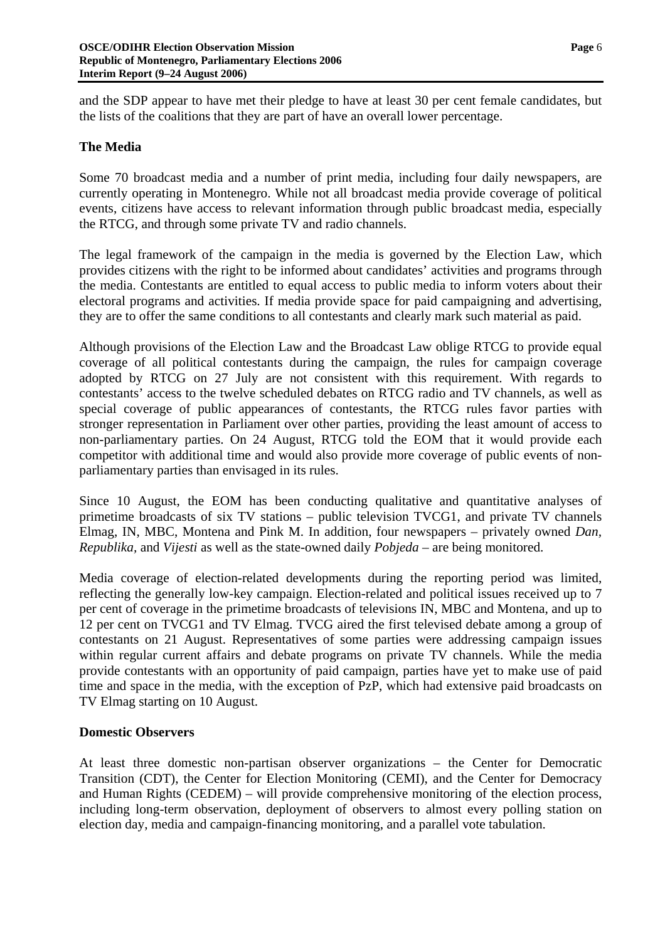and the SDP appear to have met their pledge to have at least 30 per cent female candidates, but the lists of the coalitions that they are part of have an overall lower percentage.

# **The Media**

Some 70 broadcast media and a number of print media, including four daily newspapers, are currently operating in Montenegro. While not all broadcast media provide coverage of political events, citizens have access to relevant information through public broadcast media, especially the RTCG, and through some private TV and radio channels.

The legal framework of the campaign in the media is governed by the Election Law, which provides citizens with the right to be informed about candidates' activities and programs through the media. Contestants are entitled to equal access to public media to inform voters about their electoral programs and activities. If media provide space for paid campaigning and advertising, they are to offer the same conditions to all contestants and clearly mark such material as paid.

Although provisions of the Election Law and the Broadcast Law oblige RTCG to provide equal coverage of all political contestants during the campaign, the rules for campaign coverage adopted by RTCG on 27 July are not consistent with this requirement. With regards to contestants' access to the twelve scheduled debates on RTCG radio and TV channels, as well as special coverage of public appearances of contestants, the RTCG rules favor parties with stronger representation in Parliament over other parties, providing the least amount of access to non-parliamentary parties. On 24 August, RTCG told the EOM that it would provide each competitor with additional time and would also provide more coverage of public events of nonparliamentary parties than envisaged in its rules.

Since 10 August, the EOM has been conducting qualitative and quantitative analyses of primetime broadcasts of six TV stations – public television TVCG1, and private TV channels Elmag, IN, MBC, Montena and Pink M. In addition, four newspapers – privately owned *Dan, Republika,* and *Vijesti* as well as the state-owned daily *Pobjeda* – are being monitored.

Media coverage of election-related developments during the reporting period was limited, reflecting the generally low-key campaign. Election-related and political issues received up to 7 per cent of coverage in the primetime broadcasts of televisions IN, MBC and Montena, and up to 12 per cent on TVCG1 and TV Elmag. TVCG aired the first televised debate among a group of contestants on 21 August. Representatives of some parties were addressing campaign issues within regular current affairs and debate programs on private TV channels. While the media provide contestants with an opportunity of paid campaign, parties have yet to make use of paid time and space in the media, with the exception of PzP, which had extensive paid broadcasts on TV Elmag starting on 10 August.

#### **Domestic Observers**

At least three domestic non-partisan observer organizations – the Center for Democratic Transition (CDT), the Center for Election Monitoring (CEMI), and the Center for Democracy and Human Rights (CEDEM) – will provide comprehensive monitoring of the election process, including long-term observation, deployment of observers to almost every polling station on election day, media and campaign-financing monitoring, and a parallel vote tabulation.